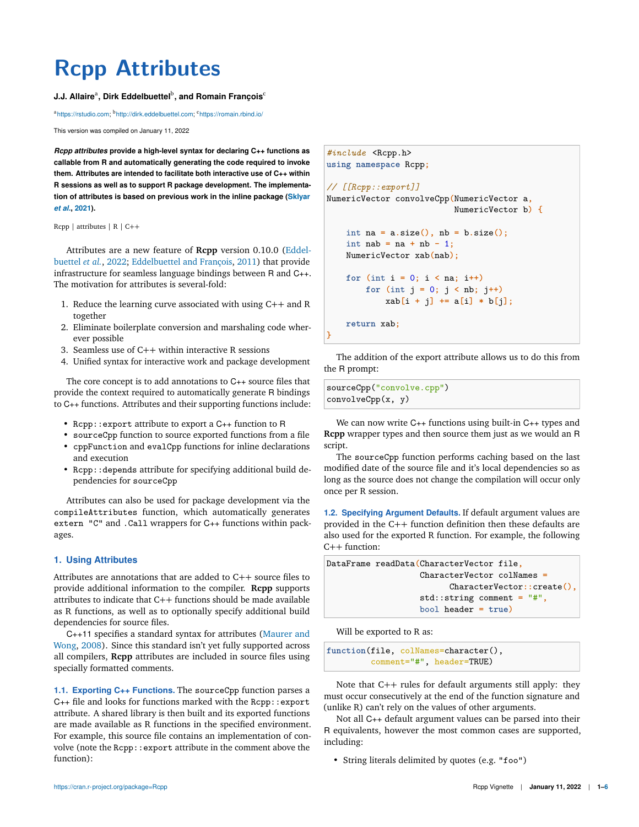# **Rcpp Attributes**

# **J.J. Allaire<sup>a</sup>, Dirk Eddelbuettel<sup>b</sup>, and Romain François<sup>c</sup>**

<sup>a</sup>https://rstudio.com; <sup>b</sup>http://dirk.eddelbuettel.com; <sup>c</sup>https://romain.rbind.io/

This version was compiled on January 11, 2022

*Rcpp attributes* **provide a high-level syntax for declaring C++ functions as callable from R and automatically generating the code required to invoke them. Attributes are intended to facilitate both interactive use of C++ within R sessions as well as to support R package development. The implementation of attributes is based on previous work in the inline package (Sklyar** *et al.***, 2021).**

Rcpp | attributes | R | C++

Attributes are a new feature of **Rcpp** version 0.10.0 (Eddelbuettel *et al.*, 2022; Eddelbuettel and François, 2011) that provide infrastructure for seamless language bindings between R and C++. The motivation for attributes is several-fold:

- 1. Reduce the learning curve associated with using C++ and R together
- 2. Eliminate boilerplate conversion and marshaling code wherever possible
- 3. Seamless use of C++ within interactive R sessions
- 4. Unified syntax for interactive work and package development

The core concept is to add annotations to C++ source files that provide the context required to automatically generate R bindings to C++ functions. Attributes and their supporting functions include:

- Rcpp::export attribute to export a C++ function to R
- sourceCpp function to source exported functions from a file
- cppFunction and evalCpp functions for inline declarations and execution
- Rcpp::depends attribute for specifying additional build dependencies for sourceCpp

Attributes can also be used for package development via the compileAttributes function, which automatically generates extern "C" and .Call wrappers for C++ functions within packages.

### **1. Using Attributes**

Attributes are annotations that are added to C++ source files to provide additional information to the compiler. **Rcpp** supports attributes to indicate that C++ functions should be made available as R functions, as well as to optionally specify additional build dependencies for source files.

C++11 specifies a standard syntax for attributes (Maurer and Wong, 2008). Since this standard isn't yet fully supported across all compilers, **Rcpp** attributes are included in source files using specially formatted comments.

**1.1. Exporting C++ Functions.** The sourceCpp function parses a  $C_{++}$  file and looks for functions marked with the Rcpp::export attribute. A shared library is then built and its exported functions are made available as R functions in the specified environment. For example, this source file contains an implementation of convolve (note the Rcpp::export attribute in the comment above the function):

```
#include <Rcpp.h>
using namespace Rcpp;
// [[Rcpp::export]]
NumericVector convolveCpp(NumericVector a,
                          NumericVector b) {
    int na = a.size(), nb = b.size();
    int nab = na + nb - 1;
    NumericVector xab(nab);
    for (int i = 0; i < na; i++)
        for (int j = 0; j < nb; j++)
            xab[i + j] += a[i] * b[j];
   return xab;
}
```
The addition of the export attribute allows us to do this from the R prompt:

sourceCpp("convolve.cpp") convolveCpp(x, y)

We can now write C++ functions using built-in C++ types and **Rcpp** wrapper types and then source them just as we would an R script.

The sourceCpp function performs caching based on the last modified date of the source file and it's local dependencies so as long as the source does not change the compilation will occur only once per R session.

**1.2. Specifying Argument Defaults.** If default argument values are provided in the C++ function definition then these defaults are also used for the exported R function. For example, the following C++ function:

| DataFrame readData(CharacterVector file, |
|------------------------------------------|
| $CharacterVector colNames =$             |
| $CharacterVector::create()$ ,            |
| $std::string comment = "#",$             |
| $bool$ header = $true)$                  |

Will be exported to R as:

```
function(file, colNames=character(),
        comment="#", header=TRUE)
```
Note that C++ rules for default arguments still apply: they must occur consecutively at the end of the function signature and (unlike R) can't rely on the values of other arguments.

Not all C++ default argument values can be parsed into their R equivalents, however the most common cases are supported, including:

• String literals delimited by quotes (e.g. "foo")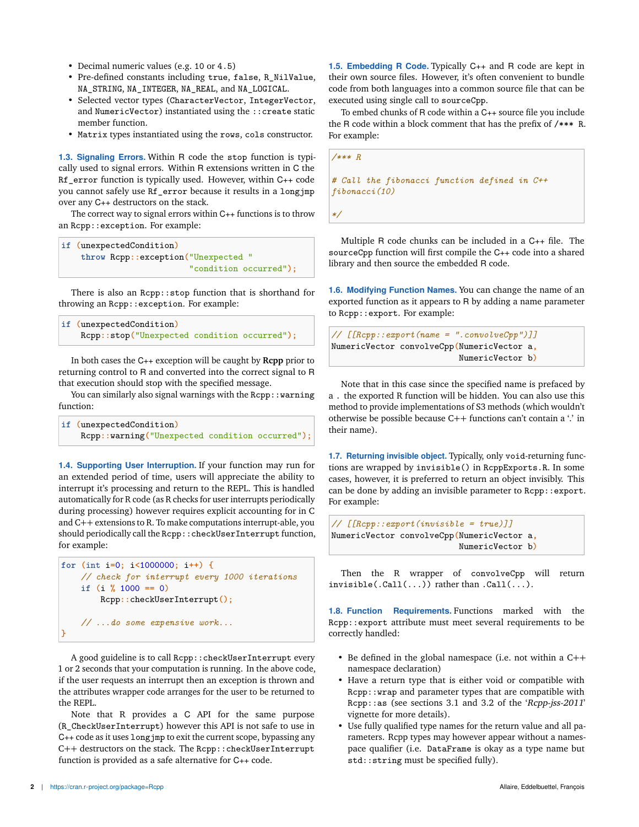- Decimal numeric values (e.g. 10 or 4.5)
- Pre-defined constants including true, false, R\_NilValue, NA\_STRING, NA\_INTEGER, NA\_REAL, and NA\_LOGICAL.
- Selected vector types (CharacterVector, IntegerVector, and NumericVector) instantiated using the ::create static member function.
- Matrix types instantiated using the rows, cols constructor.

**1.3. Signaling Errors.** Within R code the stop function is typically used to signal errors. Within R extensions written in C the Rf error function is typically used. However, within C++ code you cannot safely use Rf\_error because it results in a longjmp over any C++ destructors on the stack.

The correct way to signal errors within C++ functions is to throw an Rcpp::exception. For example:

```
if (unexpectedCondition)
    throw Rcpp::exception("Unexpected "
                          "condition occurred");
```
There is also an Rcpp::stop function that is shorthand for throwing an Rcpp::exception. For example:

```
if (unexpectedCondition)
    Rcpp::stop("Unexpected condition occurred");
```
In both cases the C++ exception will be caught by **Rcpp** prior to returning control to R and converted into the correct signal to R that execution should stop with the specified message.

You can similarly also signal warnings with the Rcpp:: warning function:

| if (unexpectedCondition)                        |  |  |
|-------------------------------------------------|--|--|
| Rcpp::warning("Unexpected condition occurred"); |  |  |

**1.4. Supporting User Interruption.** If your function may run for an extended period of time, users will appreciate the ability to interrupt it's processing and return to the REPL. This is handled automatically for R code (as R checks for user interrupts periodically during processing) however requires explicit accounting for in C and C++ extensions to R. To make computations interrupt-able, you should periodically call the Rcpp::checkUserInterrupt function, for example:

```
for (int i=0; i<1000000; i++) {
    // check for interrupt every 1000 iterations
    if (i % 1000 == 0)
        Rcpp::checkUserInterrupt();
    // ...do some expensive work...
}
```
A good guideline is to call Rcpp::checkUserInterrupt every 1 or 2 seconds that your computation is running. In the above code, if the user requests an interrupt then an exception is thrown and the attributes wrapper code arranges for the user to be returned to the REPL.

Note that R provides a C API for the same purpose (R\_CheckUserInterrupt) however this API is not safe to use in C++ code as it uses longjmp to exit the current scope, bypassing any C++ destructors on the stack. The Rcpp::checkUserInterrupt function is provided as a safe alternative for C++ code.

**1.5. Embedding R Code.** Typically C++ and R code are kept in their own source files. However, it's often convenient to bundle code from both languages into a common source file that can be executed using single call to sourceCpp.

To embed chunks of R code within a C++ source file you include the R code within a block comment that has the prefix of /\*\*\* R. For example:

*/\*\*\* R # Call the fibonacci function defined in C++ fibonacci(10)*

*\*/*

Multiple R code chunks can be included in a C++ file. The sourceCpp function will first compile the C++ code into a shared library and then source the embedded R code.

**1.6. Modifying Function Names.** You can change the name of an exported function as it appears to R by adding a name parameter to Rcpp::export. For example:

```
// [[Rcpp::export(name = ".convolveCpp")]]
NumericVector convolveCpp(NumericVector a,
                          NumericVector b)
```
Note that in this case since the specified name is prefaced by a . the exported R function will be hidden. You can also use this method to provide implementations of S3 methods (which wouldn't otherwise be possible because C++ functions can't contain a '.' in their name).

**1.7. Returning invisible object.** Typically, only void-returning functions are wrapped by invisible() in RcppExports.R. In some cases, however, it is preferred to return an object invisibly. This can be done by adding an invisible parameter to Rcpp:: export. For example:

```
// [[Rcpp::export(invisible = true)]]
NumericVector convolveCpp(NumericVector a,
                          NumericVector b)
```
Then the R wrapper of convolveCpp will return invisible(.Call(...)) rather than .Call(...).

**1.8. Function Requirements.** Functions marked with the Rcpp::export attribute must meet several requirements to be correctly handled:

- Be defined in the global namespace (i.e. not within a C++ namespace declaration)
- Have a return type that is either void or compatible with Rcpp::wrap and parameter types that are compatible with Rcpp::as (see sections 3.1 and 3.2 of the 'Rcpp-jss-2011' vignette for more details).
- Use fully qualified type names for the return value and all parameters. Rcpp types may however appear without a namespace qualifier (i.e. DataFrame is okay as a type name but std::string must be specified fully).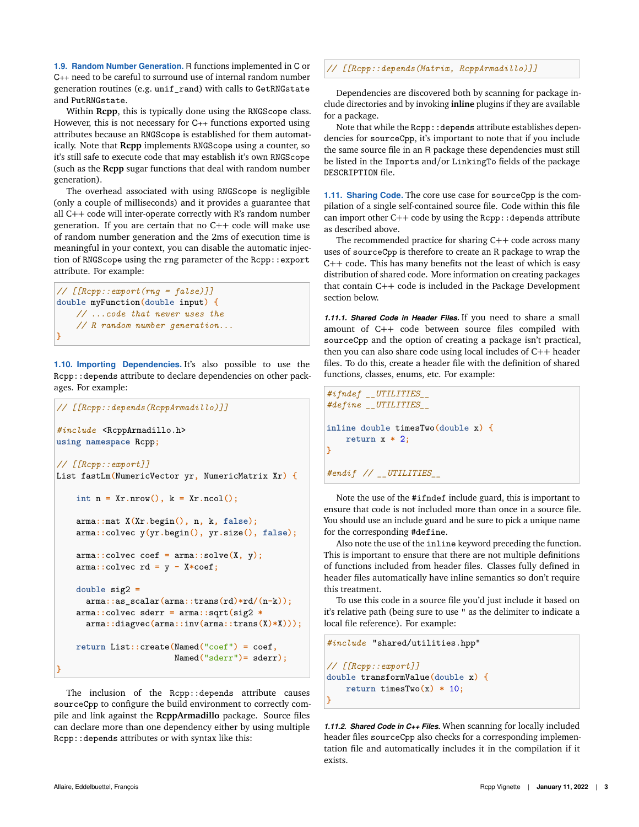**1.9. Random Number Generation.** R functions implemented in C or C++ need to be careful to surround use of internal random number generation routines (e.g. unif\_rand) with calls to GetRNGstate and PutRNGstate.

Within **Rcpp**, this is typically done using the RNGScope class. However, this is not necessary for C++ functions exported using attributes because an RNGScope is established for them automatically. Note that **Rcpp** implements RNGScope using a counter, so it's still safe to execute code that may establish it's own RNGScope (such as the **Rcpp** sugar functions that deal with random number generation).

The overhead associated with using RNGScope is negligible (only a couple of milliseconds) and it provides a guarantee that all C++ code will inter-operate correctly with R's random number generation. If you are certain that no C++ code will make use of random number generation and the 2ms of execution time is meaningful in your context, you can disable the automatic injection of RNGScope using the rng parameter of the Rcpp::export attribute. For example:

```
// [[Rcpp::export(rng = false)]]
double myFunction(double input) {
    // ...code that never uses the
    // R random number generation...
}
```
**1.10. Importing Dependencies.** It's also possible to use the Rcpp::depends attribute to declare dependencies on other packages. For example:

```
// [[Rcpp::depends(RcppArmadillo)]]
#include <RcppArmadillo.h>
using namespace Rcpp;
// [[Rcpp::export]]
List fastLm(NumericVector yr, NumericMatrix Xr) {
    int n = Xr.nrow(), k = Xr.ncol();
    arma::mat X(Xr.begin(), n, k, false);
    arma::colvec y(yr.begin(), yr.size(), false);
    arma::colvec coef = arma::solve(X, y);
    arma::colvec rd = y - X*coef;
    double sig2 =
      arma::as_scalar(arma::trans(rd)*rd/(n-k));
    arma::colvec sderr = arma::sqrt(sig2 *
      arma::diagvec(arma::inv(arma::trans(X)*X)));
    return List::create(Named("coef") = coef,
                        Named("sderr")= sderr);
}
```
The inclusion of the Rcpp::depends attribute causes sourceCpp to configure the build environment to correctly compile and link against the **RcppArmadillo** package. Source files can declare more than one dependency either by using multiple Rcpp::depends attributes or with syntax like this:

*// [[Rcpp::depends(Matrix, RcppArmadillo)]]*

Dependencies are discovered both by scanning for package include directories and by invoking **inline** plugins if they are available for a package.

Note that while the Rcpp:: depends attribute establishes dependencies for sourceCpp, it's important to note that if you include the same source file in an R package these dependencies must still be listed in the Imports and/or LinkingTo fields of the package DESCRIPTION file.

**1.11. Sharing Code.** The core use case for sourceCpp is the compilation of a single self-contained source file. Code within this file can import other  $C++$  code by using the  $Rep: :$  depends attribute as described above.

The recommended practice for sharing C++ code across many uses of sourceCpp is therefore to create an R package to wrap the C++ code. This has many benefits not the least of which is easy distribution of shared code. More information on creating packages that contain C++ code is included in the Package Development section below.

*1.11.1. Shared Code in Header Files.* If you need to share a small amount of C++ code between source files compiled with sourceCpp and the option of creating a package isn't practical, then you can also share code using local includes of C++ header files. To do this, create a header file with the definition of shared functions, classes, enums, etc. For example:

```
#ifndef __UTILITIES__
#define __UTILITIES__
inline double timesTwo(double x) {
   return x * 2;
}
#endif // __UTILITIES__
```
Note the use of the #ifndef include guard, this is important to ensure that code is not included more than once in a source file. You should use an include guard and be sure to pick a unique name for the corresponding #define.

Also note the use of the inline keyword preceding the function. This is important to ensure that there are not multiple definitions of functions included from header files. Classes fully defined in header files automatically have inline semantics so don't require this treatment.

To use this code in a source file you'd just include it based on it's relative path (being sure to use " as the delimiter to indicate a local file reference). For example:

```
#include "shared/utilities.hpp"
// [[Rcpp::export]]
double transformValue(double x) {
   return timesTwo(x) * 10;
}
```
*1.11.2. Shared Code in C++ Files.* When scanning for locally included header files sourceCpp also checks for a corresponding implementation file and automatically includes it in the compilation if it exists.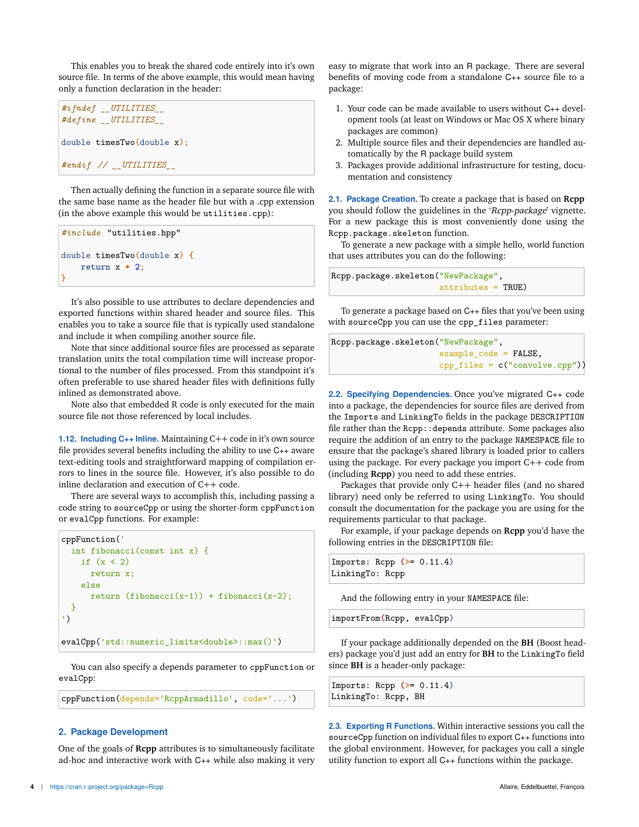This enables you to break the shared code entirely into it's own source file. In terms of the above example, this would mean having only a function declaration in the header:

```
#ifndef __UTILITIES__
#define __UTILITIES__
double timesTwo(double x);
#endif // __UTILITIES__
```
Then actually defining the function in a separate source file with the same base name as the header file but with a .cpp extension (in the above example this would be utilities.cpp):

```
#include "utilities.hpp"
double timesTwo(double x) {
   return x * 2;
}
```
It's also possible to use attributes to declare dependencies and exported functions within shared header and source files. This enables you to take a source file that is typically used standalone and include it when compiling another source file.

Note that since additional source files are processed as separate translation units the total compilation time will increase proportional to the number of files processed. From this standpoint it's often preferable to use shared header files with definitions fully inlined as demonstrated above.

Note also that embedded R code is only executed for the main source file not those referenced by local includes.

**1.12. Including C++ Inline.** Maintaining C++ code in it's own source file provides several benefits including the ability to use C++ aware text-editing tools and straightforward mapping of compilation errors to lines in the source file. However, it's also possible to do inline declaration and execution of C++ code.

There are several ways to accomplish this, including passing a code string to sourceCpp or using the shorter-form cppFunction or evalCpp functions. For example:

```
cppFunction('
 int fibonacci(const int x) {
   if (x < 2)return x;
    else
     return (fibonacci(x-1)) + fibonacci(x-2);}
')
evalCpp('std::numeric_limits<double>::max()')
```
You can also specify a depends parameter to cppFunction or evalCpp:

```
cppFunction(depends='RcppArmadillo', code='...')
```
### **2. Package Development**

One of the goals of **Rcpp** attributes is to simultaneously facilitate ad-hoc and interactive work with C++ while also making it very easy to migrate that work into an R package. There are several benefits of moving code from a standalone C++ source file to a package:

- 1. Your code can be made available to users without C++ development tools (at least on Windows or Mac OS X where binary packages are common)
- 2. Multiple source files and their dependencies are handled automatically by the R package build system
- 3. Packages provide additional infrastructure for testing, documentation and consistency

**2.1. Package Creation.** To create a package that is based on **Rcpp** you should follow the guidelines in the 'Rcpp-package' vignette. For a new package this is most conveniently done using the Rcpp.package.skeleton function.

To generate a new package with a simple hello, world function that uses attributes you can do the following:

Rcpp.package.skeleton("NewPackage", attributes = TRUE)

To generate a package based on C++ files that you've been using with sourceCpp you can use the cpp\_files parameter:

Rcpp.package.skeleton("NewPackage", example\_code = FALSE, cpp\_files = c("convolve.cpp"))

**2.2. Specifying Dependencies.** Once you've migrated C++ code into a package, the dependencies for source files are derived from the Imports and LinkingTo fields in the package DESCRIPTION file rather than the Rcpp::depends attribute. Some packages also require the addition of an entry to the package NAMESPACE file to ensure that the package's shared library is loaded prior to callers using the package. For every package you import C++ code from (including **Rcpp**) you need to add these entries.

Packages that provide only C++ header files (and no shared library) need only be referred to using LinkingTo. You should consult the documentation for the package you are using for the requirements particular to that package.

For example, if your package depends on **Rcpp** you'd have the following entries in the DESCRIPTION file:

```
Imports: Rcpp (>= 0.11.4)
LinkingTo: Rcpp
```
And the following entry in your NAMESPACE file:

importFrom**(**Rcpp, evalCpp**)**

If your package additionally depended on the **BH** (Boost headers) package you'd just add an entry for **BH** to the LinkingTo field since **BH** is a header-only package:

|                     | $Improrts: Rcpp (>= 0.11.4)$ |  |
|---------------------|------------------------------|--|
| LinkingTo: Rcpp, BH |                              |  |

**2.3. Exporting R Functions.** Within interactive sessions you call the sourceCpp function on individual files to export C++ functions into the global environment. However, for packages you call a single utility function to export all C++ functions within the package.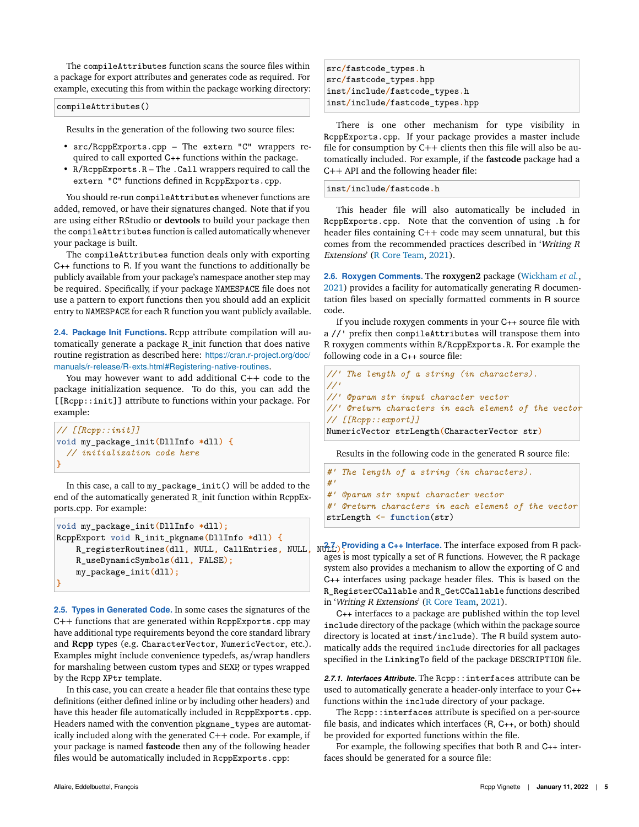The compileAttributes function scans the source files within a package for export attributes and generates code as required. For example, executing this from within the package working directory:

#### compileAttributes()

Results in the generation of the following two source files:

- src/RcppExports.cpp The extern "C" wrappers required to call exported C++ functions within the package.
- R/RcppExports.R The .Call wrappers required to call the extern "C" functions defined in RcppExports.cpp.

You should re-run compileAttributes whenever functions are added, removed, or have their signatures changed. Note that if you are using either RStudio or **devtools** to build your package then the compileAttributes function is called automatically whenever your package is built.

The compileAttributes function deals only with exporting C++ functions to R. If you want the functions to additionally be publicly available from your package's namespace another step may be required. Specifically, if your package NAMESPACE file does not use a pattern to export functions then you should add an explicit entry to NAMESPACE for each R function you want publicly available.

**2.4. Package Init Functions.** Rcpp attribute compilation will automatically generate a package R\_init function that does native routine registration as described here: https://cran.r-project.org/doc/ manuals/r-release/R-exts.html#Registering-native-routines.

You may however want to add additional C++ code to the package initialization sequence. To do this, you can add the [[Rcpp::init]] attribute to functions within your package. For example:

```
// [[Rcpp::init]]
void my_package_init(DllInfo *dll) {
  // initialization code here
}
```
In this case, a call to my\_package\_init() will be added to the end of the automatically generated R\_init function within RcppExports.cpp. For example:

```
void my_package_init(DllInfo *dll);
RcppExport void R_init_pkgname(DllInfo *dll) {
    R_registerRoutines(dll, NULL, CallEntries, NULL, NULL);
    R_useDynamicSymbols(dll, FALSE);
    my_package_init(dll);
}
```
**2.5. Types in Generated Code.** In some cases the signatures of the C++ functions that are generated within RcppExports.cpp may have additional type requirements beyond the core standard library and **Rcpp** types (e.g. CharacterVector, NumericVector, etc.). Examples might include convenience typedefs, as/wrap handlers for marshaling between custom types and SEXP, or types wrapped by the Rcpp XPtr template.

In this case, you can create a header file that contains these type definitions (either defined inline or by including other headers) and have this header file automatically included in RcppExports.cpp. Headers named with the convention pkgname\_types are automatically included along with the generated C++ code. For example, if your package is named **fastcode** then any of the following header files would be automatically included in RcppExports.cpp:

src**/**fastcode\_types**.**h src**/**fastcode\_types**.**hpp inst**/**include**/**fastcode\_types**.**h inst**/**include**/**fastcode\_types**.**hpp

There is one other mechanism for type visibility in RcppExports.cpp. If your package provides a master include file for consumption by C++ clients then this file will also be automatically included. For example, if the **fastcode** package had a C++ API and the following header file:

inst**/**include**/**fastcode**.**h

This header file will also automatically be included in RcppExports.cpp. Note that the convention of using .h for header files containing C++ code may seem unnatural, but this comes from the recommended practices described in 'Writing <sup>R</sup> Extensions' (R Core Team, 2021).

**2.6. Roxygen Comments.** The **roxygen2** package (Wickham *et al.*, 2021) provides a facility for automatically generating R documentation files based on specially formatted comments in R source code.

If you include roxygen comments in your C++ source file with a //' prefix then compileAttributes will transpose them into R roxygen comments within R/RcppExports.R. For example the following code in a C++ source file:

```
//' The length of a string (in characters).
//'
//' @param str input character vector
//' @return characters in each element of the vector
// [[Rcpp::export]]
NumericVector strLength(CharacterVector str)
```
Results in the following code in the generated R source file:

```
#' The length of a string (in characters).
#'
#' @param str input character vector
#' @return characters in each element of the vector
strLength <- function(str)
```
NO<sub>L</sub><sup>7</sup>: Providing a C<sub>++</sub> Interface. The interface exposed from R packages is most typically a set of R functions. However, the R package system also provides a mechanism to allow the exporting of C and C++ interfaces using package header files. This is based on the R\_RegisterCCallable and R\_GetCCallable functions described in 'Writing <sup>R</sup> Extensions' (R Core Team, 2021).

C++ interfaces to a package are published within the top level include directory of the package (which within the package source directory is located at inst/include). The R build system automatically adds the required include directories for all packages specified in the LinkingTo field of the package DESCRIPTION file.

*2.7.1. Interfaces Attribute.* The Rcpp::interfaces attribute can be used to automatically generate a header-only interface to your C++ functions within the include directory of your package.

The Rcpp::interfaces attribute is specified on a per-source file basis, and indicates which interfaces (R, C++, or both) should be provided for exported functions within the file.

For example, the following specifies that both R and C++ interfaces should be generated for a source file: